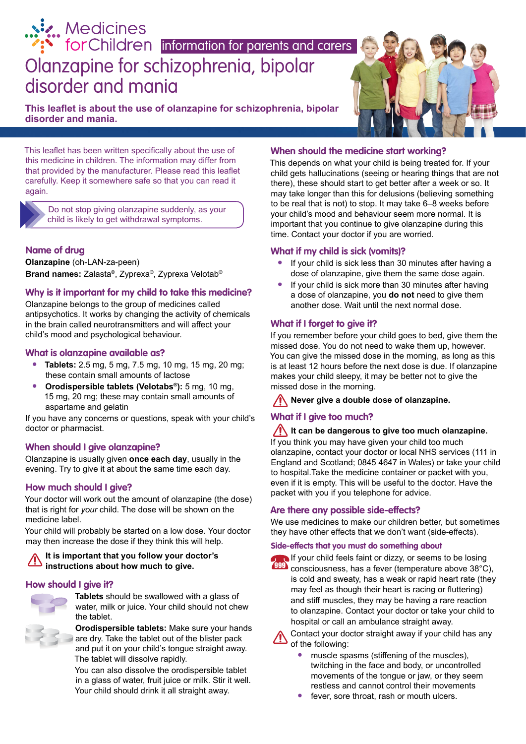# [Olanzapine for schizophrenia, bipolar](http://www.medicinesforchildren.org.uk)  disorder and mania **information for parents and carers**<br>**information for parents and carers**

**This leaflet is about the use of olanzapine for schizophrenia, bipolar disorder and mania.**

This leaflet has been written specifically about the use of this medicine in children. The information may differ from that provided by the manufacturer. Please read this leaflet carefully. Keep it somewhere safe so that you can read it again.

> Do not stop giving olanzapine suddenly, as your child is likely to get withdrawal symptoms.

# **Name of drug**

**Olanzapine** (oh-LAN-za-peen) **Brand names:** Zalasta®, Zyprexa®, Zyprexa Velotab®

### **Why is it important for my child to take this medicine?**

Olanzapine belongs to the group of medicines called antipsychotics. It works by changing the activity of chemicals in the brain called neurotransmitters and will affect your child's mood and psychological behaviour.

### **What is olanzapine available as?**

- **• Tablets:** 2.5 mg, 5 mg, 7.5 mg, 10 mg, 15 mg, 20 mg; these contain small amounts of lactose
- **• Orodispersible tablets (Velotabs®):** 5 mg, 10 mg, 15 mg, 20 mg; these may contain small amounts of aspartame and gelatin

If you have any concerns or questions, speak with your child's doctor or pharmacist.

### **When should I give olanzapine?**

Olanzapine is usually given **once each day**, usually in the evening. Try to give it at about the same time each day.

# **How much should I give?**

Your doctor will work out the amount of olanzapine (the dose) that is right for *your* child. The dose will be shown on the medicine label.

Your child will probably be started on a low dose. Your doctor may then increase the dose if they think this will help.

# **It is important that you follow your doctor's instructions about how much to give.**

# **How should I give it?**



**Tablets** should be swallowed with a glass of water, milk or juice. Your child should not chew the tablet.

**Orodispersible tablets:** Make sure your hands are dry. Take the tablet out of the blister pack and put it on your child's tongue straight away. The tablet will dissolve rapidly.

You can also dissolve the orodispersible tablet in a glass of water, fruit juice or milk. Stir it well. Your child should drink it all straight away.

# **When should the medicine start working?**

This depends on what your child is being treated for. If your child gets hallucinations (seeing or hearing things that are not there), these should start to get better after a week or so. It may take longer than this for delusions (believing something to be real that is not) to stop. It may take 6–8 weeks before your child's mood and behaviour seem more normal. It is important that you continue to give olanzapine during this time. Contact your doctor if you are worried.

### **What if my child is sick (vomits)?**

- **•** If your child is sick less than 30 minutes after having a dose of olanzapine, give them the same dose again.
- **•** If your child is sick more than 30 minutes after having a dose of olanzapine, you **do not** need to give them another dose. Wait until the next normal dose.

# **What if I forget to give it?**

If you remember before your child goes to bed, give them the missed dose. You do not need to wake them up, however. You can give the missed dose in the morning, as long as this is at least 12 hours before the next dose is due. If olanzapine makes your child sleepy, it may be better not to give the missed dose in the morning.

### **Never give a double dose of olanzapine.**

# **What if I give too much?**

### **It can be dangerous to give too much olanzapine.**

If you think you may have given your child too much olanzapine, contact your doctor or local NHS services (111 in England and Scotland; 0845 4647 in Wales) or take your child to hospital.Take the medicine container or packet with you, even if it is empty. This will be useful to the doctor. Have the packet with you if you telephone for advice.

### **Are there any possible side-effects?**

We use medicines to make our children better, but sometimes they have other effects that we don't want (side-effects).

#### **Side-effects that you must do something about**



If your child feels faint or dizzy, or seems to be losing **PPP** consciousness, has a fever (temperature above 38°C),

is cold and sweaty, has a weak or rapid heart rate (they may feel as though their heart is racing or fluttering) and stiff muscles, they may be having a rare reaction to olanzapine. Contact your doctor or take your child to hospital or call an ambulance straight away.

Contact your doctor straight away if your child has any of the following:

- **•** muscle spasms (stiffening of the muscles), twitching in the face and body, or uncontrolled movements of the tongue or jaw, or they seem restless and cannot control their movements
- **•** fever, sore throat, rash or mouth ulcers.